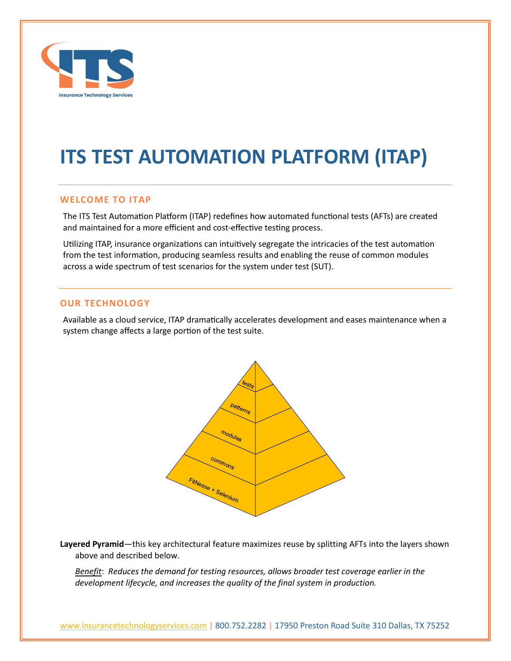

# **ITS TEST AUTOMATION PLATFORM (ITAP)**

# **WELCOME TO ITAP**

The ITS Test Automation Platform (ITAP) redefines how automated functional tests (AFTs) are created and maintained for a more efficient and cost-effective testing process.

Utilizing ITAP, insurance organizations can intuitively segregate the intricacies of the test automation from the test information, producing seamless results and enabling the reuse of common modules across a wide spectrum of test scenarios for the system under test (SUT).

# **OUR TECHNOLOGY**

Available as a cloud service, ITAP dramatically accelerates development and eases maintenance when a system change affects a large portion of the test suite.



**Layered Pyramid**—this key architectural feature maximizes reuse by splitting AFTs into the layers shown above and described below.

*Benefit*: *Reduces the demand for testing resources, allows broader test coverage earlier in the development lifecycle, and increases the quality of the final system in production.*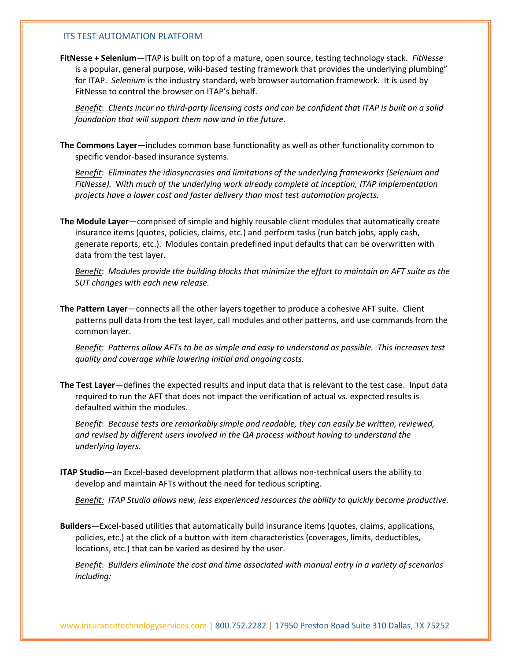#### ITS TEST AUTOMATION PLATFORM

**FitNesse + Selenium**—ITAP is built on top of a mature, open source, testing technology stack. *FitNesse* is a popular, general purpose, wiki-based testing framework that provides the underlying plumbing" for ITAP. *Selenium* is the industry standard, web browser automation framework. It is used by FitNesse to control the browser on ITAP's behalf.

*Benefit*: *Clients incur no third-party licensing costs and can be confident that ITAP is built on a solid foundation that will support them now and in the future.*

**The Commons Layer**—includes common base functionality as well as other functionality common to specific vendor-based insurance systems.

*Benefit*: *Eliminates the idiosyncrasies and limitations of the underlying frameworks (Selenium and FitNesse).* W*ith much of the underlying work already complete at inception, ITAP implementation projects have a lower cost and faster delivery than most test automation projects.*

**The Module Layer**—comprised of simple and highly reusable client modules that automatically create insurance items (quotes, policies, claims, etc.) and perform tasks (run batch jobs, apply cash, generate reports, etc.). Modules contain predefined input defaults that can be overwritten with data from the test layer.

*Benefit*: *Modules provide the building blocks that minimize the effort to maintain an AFT suite as the SUT changes with each new release.*

**The Pattern Layer**—connects all the other layers together to produce a cohesive AFT suite. Client patterns pull data from the test layer, call modules and other patterns, and use commands from the common layer.

*Benefit*: *Patterns allow AFTs to be as simple and easy to understand as possible. This increases test quality and coverage while lowering initial and ongoing costs.*

**The Test Layer**—defines the expected results and input data that is relevant to the test case. Input data required to run the AFT that does not impact the verification of actual vs. expected results is defaulted within the modules.

*Benefit*: *Because tests are remarkably simple and readable, they can easily be written, reviewed, and revised by different users involved in the QA process without having to understand the underlying layers.*

**ITAP Studio**—an Excel-based development platform that allows non-technical users the ability to develop and maintain AFTs without the need for tedious scripting.

*Benefit: ITAP Studio allows new, less experienced resources the ability to quickly become productive.*

**Builders**—Excel-based utilities that automatically build insurance items (quotes, claims, applications, policies, etc.) at the click of a button with item characteristics (coverages, limits, deductibles, locations, etc.) that can be varied as desired by the user.

*Benefit*: *Builders eliminate the cost and time associated with manual entry in a variety of scenarios including:*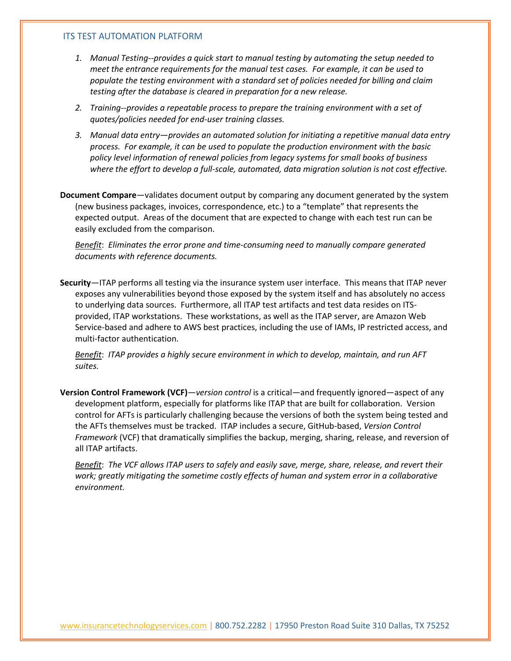#### ITS TEST AUTOMATION PLATFORM

- *1. Manual Testing--provides a quick start to manual testing by automating the setup needed to meet the entrance requirements for the manual test cases. For example, it can be used to populate the testing environment with a standard set of policies needed for billing and claim testing after the database is cleared in preparation for a new release.*
- *2. Training--provides a repeatable process to prepare the training environment with a set of quotes/policies needed for end-user training classes.*
- *3. Manual data entry—provides an automated solution for initiating a repetitive manual data entry process. For example, it can be used to populate the production environment with the basic policy level information of renewal policies from legacy systems for small books of business where the effort to develop a full-scale, automated, data migration solution is not cost effective.*

**Document Compare**—validates document output by comparing any document generated by the system (new business packages, invoices, correspondence, etc.) to a "template" that represents the expected output. Areas of the document that are expected to change with each test run can be easily excluded from the comparison.

*Benefit*: *Eliminates the error prone and time-consuming need to manually compare generated documents with reference documents.*

**Security**—ITAP performs all testing via the insurance system user interface. This means that ITAP never exposes any vulnerabilities beyond those exposed by the system itself and has absolutely no access to underlying data sources. Furthermore, all ITAP test artifacts and test data resides on ITSprovided, ITAP workstations. These workstations, as well as the ITAP server, are Amazon Web Service-based and adhere to AWS best practices, including the use of IAMs, IP restricted access, and multi-factor authentication.

*Benefit*: *ITAP provides a highly secure environment in which to develop, maintain, and run AFT suites.*

**Version Control Framework (VCF)**—*version control* is a critical—and frequently ignored—aspect of any development platform, especially for platforms like ITAP that are built for collaboration. Version control for AFTs is particularly challenging because the versions of both the system being tested and the AFTs themselves must be tracked. ITAP includes a secure, GitHub-based, *Version Control Framework* (VCF) that dramatically simplifies the backup, merging, sharing, release, and reversion of all ITAP artifacts.

*Benefit*: *The VCF allows ITAP users to safely and easily save, merge, share, release, and revert their work; greatly mitigating the sometime costly effects of human and system error in a collaborative environment.*